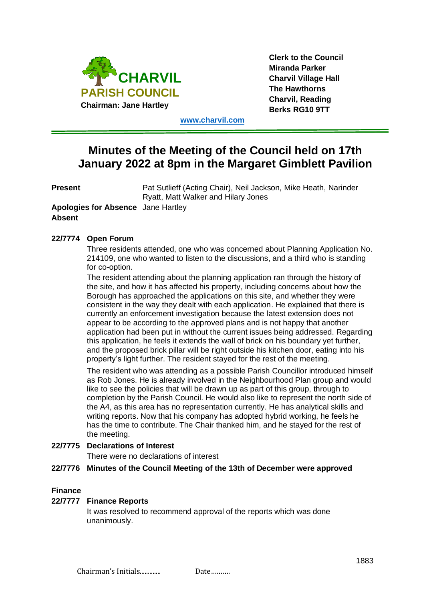

**Clerk to the Council Miranda Parker Charvil Village Hall The Hawthorns Charvil, Reading Berks RG10 9TT**

**[www.charvil.com](http://www.charvil.com/)**

# **Minutes of the Meeting of the Council held on 17th January 2022 at 8pm in the Margaret Gimblett Pavilion**

**Present** Pat Sutlieff (Acting Chair), Neil Jackson, Mike Heath, Narinder Ryatt, Matt Walker and Hilary Jones

**Apologies for Absence** Jane Hartley **Absent**

## **22/7774 Open Forum**

Three residents attended, one who was concerned about Planning Application No. 214109, one who wanted to listen to the discussions, and a third who is standing for co-option.

The resident attending about the planning application ran through the history of the site, and how it has affected his property, including concerns about how the Borough has approached the applications on this site, and whether they were consistent in the way they dealt with each application. He explained that there is currently an enforcement investigation because the latest extension does not appear to be according to the approved plans and is not happy that another application had been put in without the current issues being addressed. Regarding this application, he feels it extends the wall of brick on his boundary yet further, and the proposed brick pillar will be right outside his kitchen door, eating into his property's light further. The resident stayed for the rest of the meeting.

The resident who was attending as a possible Parish Councillor introduced himself as Rob Jones. He is already involved in the Neighbourhood Plan group and would like to see the policies that will be drawn up as part of this group, through to completion by the Parish Council. He would also like to represent the north side of the A4, as this area has no representation currently. He has analytical skills and writing reports. Now that his company has adopted hybrid working, he feels he has the time to contribute. The Chair thanked him, and he stayed for the rest of the meeting.

## **22/7775 Declarations of Interest**

There were no declarations of interest

## **22/7776 Minutes of the Council Meeting of the 13th of December were approved**

## **Finance**

#### **22/7777 Finance Reports**

It was resolved to recommend approval of the reports which was done unanimously.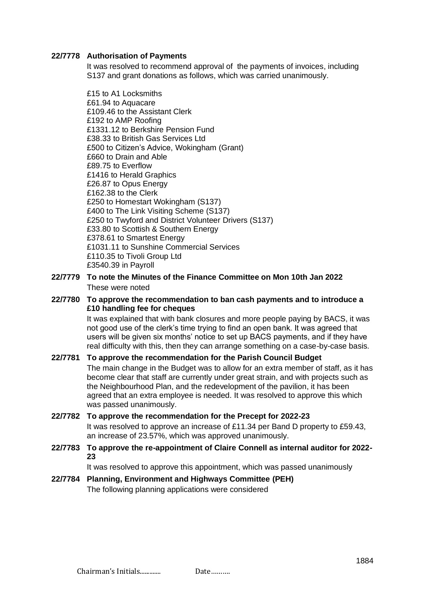### **22/7778 Authorisation of Payments**

It was resolved to recommend approval of the payments of invoices, including S137 and grant donations as follows, which was carried unanimously.

£15 to A1 Locksmiths £61.94 to Aquacare £109.46 to the Assistant Clerk £192 to AMP Roofing £1331.12 to Berkshire Pension Fund £38.33 to British Gas Services Ltd £500 to Citizen's Advice, Wokingham (Grant) £660 to Drain and Able £89.75 to Everflow £1416 to Herald Graphics £26.87 to Opus Energy £162.38 to the Clerk £250 to Homestart Wokingham (S137) £400 to The Link Visiting Scheme (S137) £250 to Twyford and District Volunteer Drivers (S137) £33.80 to Scottish & Southern Energy £378.61 to Smartest Energy £1031.11 to Sunshine Commercial Services £110.35 to Tivoli Group Ltd £3540.39 in Payroll

**22/7779 To note the Minutes of the Finance Committee on Mon 10th Jan 2022** These were noted

## **22/7780 To approve the recommendation to ban cash payments and to introduce a £10 handling fee for cheques**

It was explained that with bank closures and more people paying by BACS, it was not good use of the clerk's time trying to find an open bank. It was agreed that users will be given six months' notice to set up BACS payments, and if they have real difficulty with this, then they can arrange something on a case-by-case basis.

# **22/7781 To approve the recommendation for the Parish Council Budget** The main change in the Budget was to allow for an extra member of staff, as it has become clear that staff are currently under great strain, and with projects such as

the Neighbourhood Plan, and the redevelopment of the pavilion, it has been agreed that an extra employee is needed. It was resolved to approve this which was passed unanimously.

## **22/7782 To approve the recommendation for the Precept for 2022-23** It was resolved to approve an increase of £11.34 per Band D property to £59.43, an increase of 23.57%, which was approved unanimously.

**22/7783 To approve the re-appointment of Claire Connell as internal auditor for 2022- 23**

It was resolved to approve this appointment, which was passed unanimously

**22/7784 Planning, Environment and Highways Committee (PEH)** The following planning applications were considered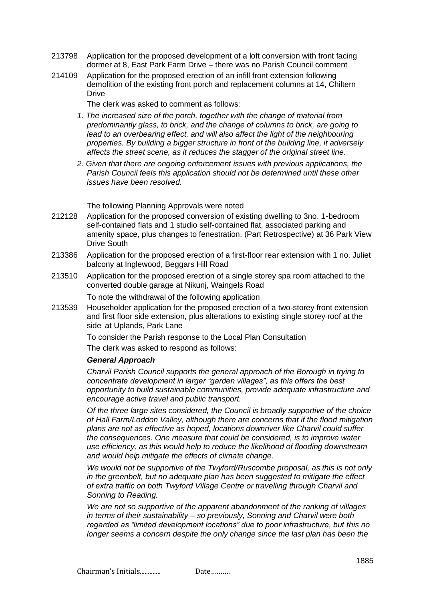- 213798 Application for the proposed development of a loft conversion with front facing dormer at 8, East Park Farm Drive – there was no Parish Council comment
- 214109 Application for the proposed erection of an infill front extension following demolition of the existing front porch and replacement columns at 14, Chiltern **Drive**

The clerk was asked to comment as follows:

- *1. The increased size of the porch, together with the change of material from predominantly glass, to brick, and the change of columns to brick, are going to lead to an overbearing effect, and will also affect the light of the neighbouring properties. By building a bigger structure in front of the building line, it adversely affects the street scene, as it reduces the stagger of the original street line.*
- *2. Given that there are ongoing enforcement issues with previous applications, the Parish Council feels this application should not be determined until these other issues have been resolved.*

The following Planning Approvals were noted

- 212128 Application for the proposed conversion of existing dwelling to 3no. 1-bedroom self-contained flats and 1 studio self-contained flat, associated parking and amenity space, plus changes to fenestration. (Part Retrospective) at 36 Park View Drive South
- 213386 Application for the proposed erection of a first-floor rear extension with 1 no. Juliet balcony at Inglewood, Beggars Hill Road
- 213510 Application for the proposed erection of a single storey spa room attached to the converted double garage at Nikunj, Waingels Road

To note the withdrawal of the following application

213539 Householder application for the proposed erection of a two-storey front extension and first floor side extension, plus alterations to existing single storey roof at the side at Uplands, Park Lane

> To consider the Parish response to the Local Plan Consultation The clerk was asked to respond as follows:

## *General Approach*

*Charvil Parish Council supports the general approach of the Borough in trying to concentrate development in larger "garden villages", as this offers the best opportunity to build sustainable communities, provide adequate infrastructure and encourage active travel and public transport.*

*Of the three large sites considered, the Council is broadly supportive of the choice of Hall Farm/Loddon Valley, although there are concerns that if the flood mitigation plans are not as effective as hoped, locations downriver like Charvil could suffer the consequences. One measure that could be considered, is to improve water use efficiency, as this would help to reduce the likelihood of flooding downstream and would help mitigate the effects of climate change.*

*We would not be supportive of the Twyford/Ruscombe proposal, as this is not only in the greenbelt, but no adequate plan has been suggested to mitigate the effect of extra traffic on both Twyford Village Centre or travelling through Charvil and Sonning to Reading.*

*We are not so supportive of the apparent abandonment of the ranking of villages in terms of their sustainability – so previously, Sonning and Charvil were both regarded as "limited development locations" due to poor infrastructure, but this no longer seems a concern despite the only change since the last plan has been the*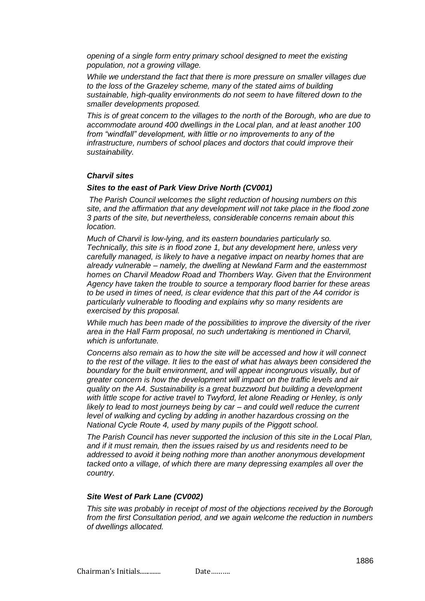*opening of a single form entry primary school designed to meet the existing population, not a growing village.*

*While we understand the fact that there is more pressure on smaller villages due to the loss of the Grazeley scheme, many of the stated aims of building sustainable, high-quality environments do not seem to have filtered down to the smaller developments proposed.*

*This is of great concern to the villages to the north of the Borough, who are due to accommodate around 400 dwellings in the Local plan, and at least another 100 from "windfall" development, with little or no improvements to any of the infrastructure, numbers of school places and doctors that could improve their sustainability.* 

#### *Charvil sites*

#### *Sites to the east of Park View Drive North (CV001)*

*The Parish Council welcomes the slight reduction of housing numbers on this site, and the affirmation that any development will not take place in the flood zone 3 parts of the site, but nevertheless, considerable concerns remain about this location.*

*Much of Charvil is low-lying, and its eastern boundaries particularly so. Technically, this site is in flood zone 1, but any development here, unless very carefully managed, is likely to have a negative impact on nearby homes that are already vulnerable – namely, the dwelling at Newland Farm and the easternmost homes on Charvil Meadow Road and Thornbers Way. Given that the Environment Agency have taken the trouble to source a temporary flood barrier for these areas to be used in times of need, is clear evidence that this part of the A4 corridor is particularly vulnerable to flooding and explains why so many residents are exercised by this proposal.*

*While much has been made of the possibilities to improve the diversity of the river area in the Hall Farm proposal, no such undertaking is mentioned in Charvil, which is unfortunate.*

*Concerns also remain as to how the site will be accessed and how it will connect to the rest of the village. It lies to the east of what has always been considered the boundary for the built environment, and will appear incongruous visually, but of greater concern is how the development will impact on the traffic levels and air quality on the A4. Sustainability is a great buzzword but building a development with little scope for active travel to Twyford, let alone Reading or Henley, is only likely to lead to most journeys being by car – and could well reduce the current level of walking and cycling by adding in another hazardous crossing on the National Cycle Route 4, used by many pupils of the Piggott school.*

*The Parish Council has never supported the inclusion of this site in the Local Plan, and if it must remain, then the issues raised by us and residents need to be addressed to avoid it being nothing more than another anonymous development tacked onto a village, of which there are many depressing examples all over the country.*

#### *Site West of Park Lane (CV002)*

*This site was probably in receipt of most of the objections received by the Borough from the first Consultation period, and we again welcome the reduction in numbers of dwellings allocated.*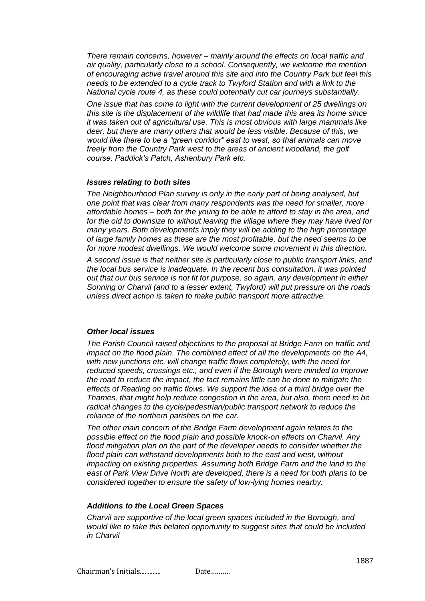*There remain concerns, however – mainly around the effects on local traffic and air quality, particularly close to a school. Consequently, we welcome the mention of encouraging active travel around this site and into the Country Park but feel this needs to be extended to a cycle track to Twyford Station and with a link to the National cycle route 4, as these could potentially cut car journeys substantially.*

*One issue that has come to light with the current development of 25 dwellings on this site is the displacement of the wildlife that had made this area its home since it was taken out of agricultural use. This is most obvious with large mammals like deer, but there are many others that would be less visible. Because of this, we would like there to be a "green corridor" east to west, so that animals can move freely from the Country Park west to the areas of ancient woodland, the golf course, Paddick's Patch, Ashenbury Park etc.*

#### *Issues relating to both sites*

*The Neighbourhood Plan survey is only in the early part of being analysed, but one point that was clear from many respondents was the need for smaller, more affordable homes – both for the young to be able to afford to stay in the area, and for the old to downsize to without leaving the village where they may have lived for many years. Both developments imply they will be adding to the high percentage of large family homes as these are the most profitable, but the need seems to be for more modest dwellings. We would welcome some movement in this direction.*

*A second issue is that neither site is particularly close to public transport links, and the local bus service is inadequate. In the recent bus consultation, it was pointed out that our bus service is not fit for purpose, so again, any development in either Sonning or Charvil (and to a lesser extent, Twyford) will put pressure on the roads unless direct action is taken to make public transport more attractive.*

#### *Other local issues*

*The Parish Council raised objections to the proposal at Bridge Farm on traffic and impact on the flood plain. The combined effect of all the developments on the A4, with new junctions etc, will change traffic flows completely, with the need for reduced speeds, crossings etc., and even if the Borough were minded to improve the road to reduce the impact, the fact remains little can be done to mitigate the effects of Reading on traffic flows. We support the idea of a third bridge over the Thames, that might help reduce congestion in the area, but also, there need to be*  radical changes to the cycle/pedestrian/public transport network to reduce the *reliance of the northern parishes on the car.* 

*The other main concern of the Bridge Farm development again relates to the possible effect on the flood plain and possible knock-on effects on Charvil. Any flood mitigation plan on the part of the developer needs to consider whether the flood plain can withstand developments both to the east and west, without impacting on existing properties. Assuming both Bridge Farm and the land to the east of Park View Drive North are developed, there is a need for both plans to be considered together to ensure the safety of low-lying homes nearby.*

## *Additions to the Local Green Spaces*

*Charvil are supportive of the local green spaces included in the Borough, and would like to take this belated opportunity to suggest sites that could be included in Charvil*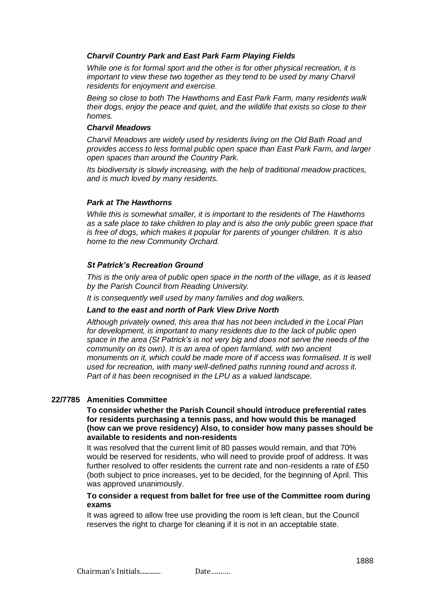## *Charvil Country Park and East Park Farm Playing Fields*

*While one is for formal sport and the other is for other physical recreation, it is important to view these two together as they tend to be used by many Charvil residents for enjoyment and exercise.*

*Being so close to both The Hawthorns and East Park Farm, many residents walk their dogs, enjoy the peace and quiet, and the wildlife that exists so close to their homes.* 

#### *Charvil Meadows*

*Charvil Meadows are widely used by residents living on the Old Bath Road and provides access to less formal public open space than East Park Farm, and larger open spaces than around the Country Park.*

*Its biodiversity is slowly increasing, with the help of traditional meadow practices, and is much loved by many residents.*

## *Park at The Hawthorns*

*While this is somewhat smaller, it is important to the residents of The Hawthorns as a safe place to take children to play and is also the only public green space that is free of dogs, which makes it popular for parents of younger children. It is also home to the new Community Orchard.*

## *St Patrick's Recreation Ground*

*This is the only area of public open space in the north of the village, as it is leased by the Parish Council from Reading University.*

*It is consequently well used by many families and dog walkers.*

## *Land to the east and north of Park View Drive North*

*Although privately owned, this area that has not been included in the Local Plan for development, is important to many residents due to the lack of public open space in the area (St Patrick's is not very big and does not serve the needs of the community on its own). It is an area of open farmland, with two ancient monuments on it, which could be made more of if access was formalised. It is well used for recreation, with many well-defined paths running round and across it. Part of it has been recognised in the LPU as a valued landscape.*

## **22/7785 Amenities Committee**

#### **To consider whether the Parish Council should introduce preferential rates for residents purchasing a tennis pass, and how would this be managed (how can we prove residency) Also, to consider how many passes should be available to residents and non-residents**

It was resolved that the current limit of 80 passes would remain, and that 70% would be reserved for residents, who will need to provide proof of address. It was further resolved to offer residents the current rate and non-residents a rate of £50 (both subject to price increases, yet to be decided, for the beginning of April. This was approved unanimously.

### **To consider a request from ballet for free use of the Committee room during exams**

It was agreed to allow free use providing the room is left clean, but the Council reserves the right to charge for cleaning if it is not in an acceptable state.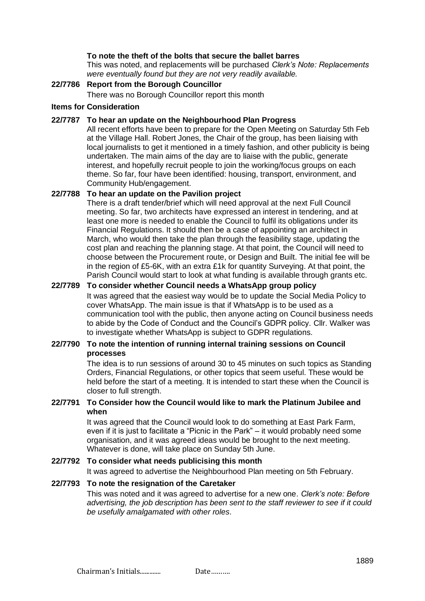#### **To note the theft of the bolts that secure the ballet barres**

This was noted, and replacements will be purchased *Clerk's Note: Replacements were eventually found but they are not very readily available.*

### **22/7786 Report from the Borough Councillor**

There was no Borough Councillor report this month

#### **Items for Consideration**

#### **22/7787 To hear an update on the Neighbourhood Plan Progress**

All recent efforts have been to prepare for the Open Meeting on Saturday 5th Feb at the Village Hall. Robert Jones, the Chair of the group, has been liaising with local journalists to get it mentioned in a timely fashion, and other publicity is being undertaken. The main aims of the day are to liaise with the public, generate interest, and hopefully recruit people to join the working/focus groups on each theme. So far, four have been identified: housing, transport, environment, and Community Hub/engagement.

## **22/7788 To hear an update on the Pavilion project**

There is a draft tender/brief which will need approval at the next Full Council meeting. So far, two architects have expressed an interest in tendering, and at least one more is needed to enable the Council to fulfil its obligations under its Financial Regulations. It should then be a case of appointing an architect in March, who would then take the plan through the feasibility stage, updating the cost plan and reaching the planning stage. At that point, the Council will need to choose between the Procurement route, or Design and Built. The initial fee will be in the region of £5-6K, with an extra £1k for quantity Surveying. At that point, the Parish Council would start to look at what funding is available through grants etc.

## **22/7789 To consider whether Council needs a WhatsApp group policy**

It was agreed that the easiest way would be to update the Social Media Policy to cover WhatsApp. The main issue is that if WhatsApp is to be used as a communication tool with the public, then anyone acting on Council business needs to abide by the Code of Conduct and the Council's GDPR policy. Cllr. Walker was to investigate whether WhatsApp is subject to GDPR regulations.

#### **22/7790 To note the intention of running internal training sessions on Council processes**

The idea is to run sessions of around 30 to 45 minutes on such topics as Standing Orders, Financial Regulations, or other topics that seem useful. These would be held before the start of a meeting. It is intended to start these when the Council is closer to full strength.

## **22/7791 To Consider how the Council would like to mark the Platinum Jubilee and when**

It was agreed that the Council would look to do something at East Park Farm, even if it is just to facilitate a "Picnic in the Park" – it would probably need some organisation, and it was agreed ideas would be brought to the next meeting. Whatever is done, will take place on Sunday 5th June.

## **22/7792 To consider what needs publicising this month**

It was agreed to advertise the Neighbourhood Plan meeting on 5th February.

#### **22/7793 To note the resignation of the Caretaker**

This was noted and it was agreed to advertise for a new one*. Clerk's note: Before advertising, the job description has been sent to the staff reviewer to see if it could be usefully amalgamated with other roles.*